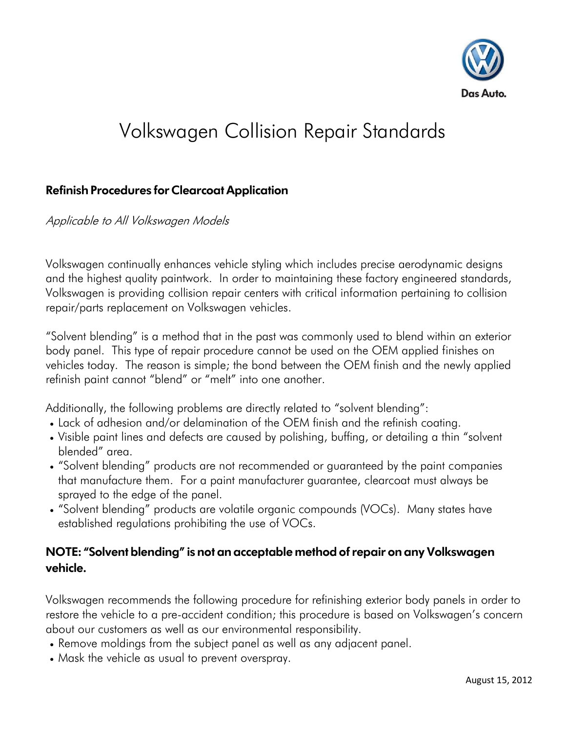

## Volkswagen Collision Repair Standards

## **Refinish Procedures for Clearcoat Application**

Applicable to All Volkswagen Models

Volkswagen continually enhances vehicle styling which includes precise aerodynamic designs and the highest quality paintwork. In order to maintaining these factory engineered standards, Volkswagen is providing collision repair centers with critical information pertaining to collision repair/parts replacement on Volkswagen vehicles.

"Solvent blending" is a method that in the past was commonly used to blend within an exterior body panel. This type of repair procedure cannot be used on the OEM applied finishes on vehicles today. The reason is simple; the bond between the OEM finish and the newly applied refinish paint cannot "blend" or "melt" into one another.

Additionally, the following problems are directly related to "solvent blending":

- Lack of adhesion and/or delamination of the OEM finish and the refinish coating.
- Visible paint lines and defects are caused by polishing, buffing, or detailing a thin "solvent blended" area.
- "Solvent blending" products are not recommended or guaranteed by the paint companies that manufacture them. For a paint manufacturer guarantee, clearcoat must always be sprayed to the edge of the panel.
- "Solvent blending" products are volatile organic compounds (VOCs). Many states have established regulations prohibiting the use of VOCs.

## **NOTE: "Solvent blending" is not an acceptable method of repair on any Volkswagen vehicle.**

Volkswagen recommends the following procedure for refinishing exterior body panels in order to restore the vehicle to a pre-accident condition; this procedure is based on Volkswagen's concern about our customers as well as our environmental responsibility.

- Remove moldings from the subject panel as well as any adjacent panel.
- Mask the vehicle as usual to prevent overspray.